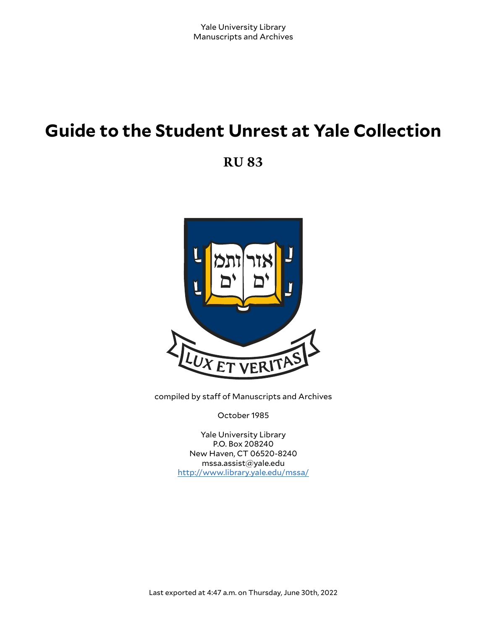# **Guide to the Student Unrest at Yale Collection**

**RU 83**



compiled by staff of Manuscripts and Archives

October 1985

Yale University Library P.O. Box 208240 New Haven, CT 06520-8240 mssa.assist@yale.edu <http://www.library.yale.edu/mssa/>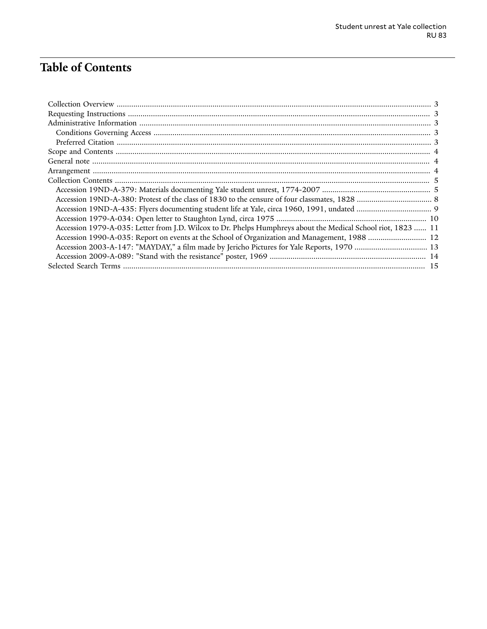# **Table of Contents**

| Accession 1979-A-035: Letter from J.D. Wilcox to Dr. Phelps Humphreys about the Medical School riot, 1823  11 |  |
|---------------------------------------------------------------------------------------------------------------|--|
| Accession 1990-A-035: Report on events at the School of Organization and Management, 1988  12                 |  |
| Accession 2003-A-147: "MAYDAY," a film made by Jericho Pictures for Yale Reports, 1970  13                    |  |
|                                                                                                               |  |
|                                                                                                               |  |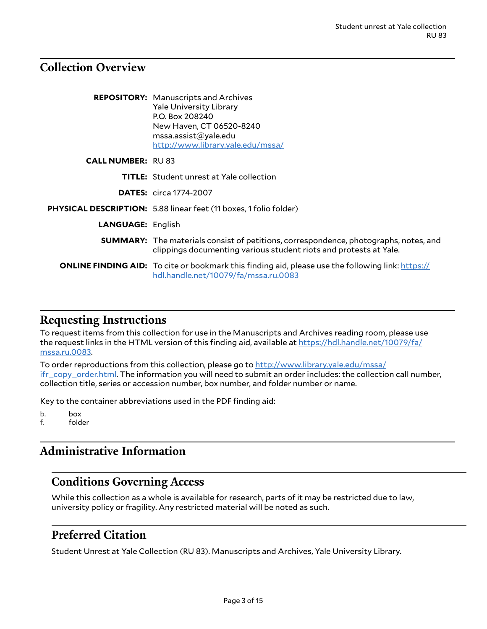## <span id="page-2-0"></span>**Collection Overview**

|                          | <b>REPOSITORY:</b> Manuscripts and Archives<br><b>Yale University Library</b><br>P.O. Box 208240<br>New Haven, CT 06520-8240<br>msa. assist@yale.edu<br>http://www.library.yale.edu/mssa/ |
|--------------------------|-------------------------------------------------------------------------------------------------------------------------------------------------------------------------------------------|
| <b>CALL NUMBER: RU83</b> |                                                                                                                                                                                           |
|                          | <b>TITLE:</b> Student unrest at Yale collection                                                                                                                                           |
|                          | <b>DATES:</b> circa 1774-2007                                                                                                                                                             |
|                          | <b>PHYSICAL DESCRIPTION:</b> 5.88 linear feet (11 boxes, 1 folio folder)                                                                                                                  |
| <b>LANGUAGE: English</b> |                                                                                                                                                                                           |
|                          | <b>SUMMARY:</b> The materials consist of petitions, correspondence, photographs, notes, and<br>clippings documenting various student riots and protests at Yale.                          |
|                          | <b>ONLINE FINDING AID:</b> To cite or bookmark this finding aid, please use the following link: https://<br>hdl.handle.net/10079/fa/mssa.ru.0083                                          |

#### <span id="page-2-1"></span>**Requesting Instructions**

To request items from this collection for use in the Manuscripts and Archives reading room, please use the request links in the HTML version of this finding aid, available at [https://hdl.handle.net/10079/fa/](https://hdl.handle.net/10079/fa/mssa.ru.0083) [mssa.ru.0083.](https://hdl.handle.net/10079/fa/mssa.ru.0083)

To order reproductions from this collection, please go to [http://www.library.yale.edu/mssa/](http://www.library.yale.edu/mssa/ifr_copy_order.html) [ifr\\_copy\\_order.html.](http://www.library.yale.edu/mssa/ifr_copy_order.html) The information you will need to submit an order includes: the collection call number, collection title, series or accession number, box number, and folder number or name.

Key to the container abbreviations used in the PDF finding aid:

b. box f. folder

## <span id="page-2-2"></span>**Administrative Information**

#### <span id="page-2-3"></span>**Conditions Governing Access**

While this collection as a whole is available for research, parts of it may be restricted due to law, university policy or fragility. Any restricted material will be noted as such.

#### <span id="page-2-4"></span>**Preferred Citation**

Student Unrest at Yale Collection (RU 83). Manuscripts and Archives, Yale University Library.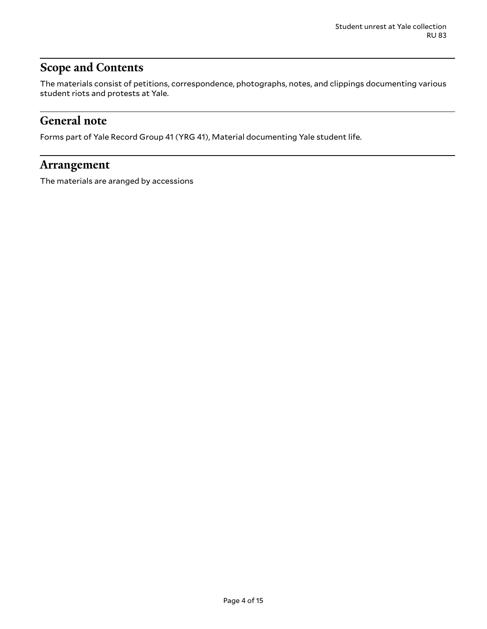## <span id="page-3-0"></span>**Scope and Contents**

The materials consist of petitions, correspondence, photographs, notes, and clippings documenting various student riots and protests at Yale.

### <span id="page-3-1"></span>**General note**

Forms part of Yale Record Group 41 (YRG 41), Material documenting Yale student life.

#### <span id="page-3-2"></span>**Arrangement**

The materials are aranged by accessions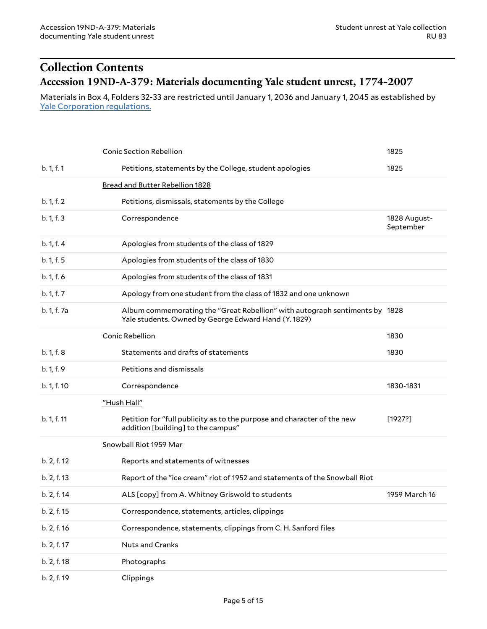## <span id="page-4-1"></span><span id="page-4-0"></span>**Collection Contents Accession 19ND-A-379: Materials documenting Yale student unrest, 1774-2007**

Materials in Box 4, Folders 32-33 are restricted until January 1, 2036 and January 1, 2045 as established by Yale [Corporation](http://web.library.yale.edu/mssa/collections/research-use-of-yale-university-archives) regulations.

|             | <b>Conic Section Rebellion</b>                                                                                                      | 1825                      |
|-------------|-------------------------------------------------------------------------------------------------------------------------------------|---------------------------|
| b. 1, f. 1  | Petitions, statements by the College, student apologies                                                                             | 1825                      |
|             | Bread and Butter Rebellion 1828                                                                                                     |                           |
| b. 1, f. 2  | Petitions, dismissals, statements by the College                                                                                    |                           |
| b. 1, f. 3  | Correspondence                                                                                                                      | 1828 August-<br>September |
| b. 1, f. 4  | Apologies from students of the class of 1829                                                                                        |                           |
| b. 1, f. 5  | Apologies from students of the class of 1830                                                                                        |                           |
| b. 1, f. 6  | Apologies from students of the class of 1831                                                                                        |                           |
| b. 1, f. 7  | Apology from one student from the class of 1832 and one unknown                                                                     |                           |
| b. 1, f. 7a | Album commemorating the "Great Rebellion" with autograph sentiments by 1828<br>Yale students. Owned by George Edward Hand (Y. 1829) |                           |
|             | <b>Conic Rebellion</b>                                                                                                              | 1830                      |
| b. 1, f. 8  | Statements and drafts of statements                                                                                                 | 1830                      |
| b. 1, f. 9  | Petitions and dismissals                                                                                                            |                           |
| b. 1, f. 10 | Correspondence                                                                                                                      | 1830-1831                 |
|             | "Hush Hall"                                                                                                                         |                           |
| b. 1, f. 11 | Petition for "full publicity as to the purpose and character of the new<br>addition [building] to the campus"                       | [1927?]                   |
|             | Snowball Riot 1959 Mar                                                                                                              |                           |
| b. 2, f. 12 | Reports and statements of witnesses                                                                                                 |                           |
| b. 2, f. 13 | Report of the "ice cream" riot of 1952 and statements of the Snowball Riot                                                          |                           |
| b. 2, f. 14 | ALS [copy] from A. Whitney Griswold to students                                                                                     | 1959 March 16             |
| b. 2, f. 15 | Correspondence, statements, articles, clippings                                                                                     |                           |
| b. 2, f. 16 | Correspondence, statements, clippings from C. H. Sanford files                                                                      |                           |
| b. 2, f. 17 | Nuts and Cranks                                                                                                                     |                           |
| b. 2, f. 18 | Photographs                                                                                                                         |                           |
| b. 2, f. 19 | Clippings                                                                                                                           |                           |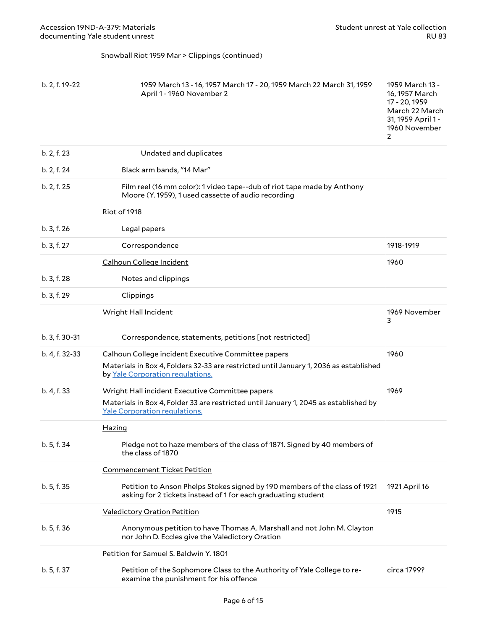#### Snowball Riot 1959 Mar > Clippings (continued)

| b. 2, f. 19-22 | 1959 March 13 - 16, 1957 March 17 - 20, 1959 March 22 March 31, 1959<br>April 1 - 1960 November 2                                                                                | 1959 March 13 -<br>16, 1957 March<br>17 - 20, 1959<br>March 22 March<br>31, 1959 April 1 -<br>1960 November<br>2 |
|----------------|----------------------------------------------------------------------------------------------------------------------------------------------------------------------------------|------------------------------------------------------------------------------------------------------------------|
| b. 2, f. 23    | Undated and duplicates                                                                                                                                                           |                                                                                                                  |
| b. 2, f. 24    | Black arm bands, "14 Mar"                                                                                                                                                        |                                                                                                                  |
| b. 2, f. 25    | Film reel (16 mm color): 1 video tape--dub of riot tape made by Anthony<br>Moore (Y. 1959), 1 used cassette of audio recording                                                   |                                                                                                                  |
|                | Riot of 1918                                                                                                                                                                     |                                                                                                                  |
| b. 3, f. 26    | Legal papers                                                                                                                                                                     |                                                                                                                  |
| b. 3, f. 27    | Correspondence                                                                                                                                                                   | 1918-1919                                                                                                        |
|                | Calhoun College Incident                                                                                                                                                         | 1960                                                                                                             |
| b. 3, f. 28    | Notes and clippings                                                                                                                                                              |                                                                                                                  |
| b. 3, f. 29    | Clippings                                                                                                                                                                        |                                                                                                                  |
|                | Wright Hall Incident                                                                                                                                                             | 1969 November<br>3                                                                                               |
| b. 3, f. 30-31 | Correspondence, statements, petitions [not restricted]                                                                                                                           |                                                                                                                  |
| b. 4, f. 32-33 | Calhoun College incident Executive Committee papers<br>Materials in Box 4, Folders 32-33 are restricted until January 1, 2036 as established<br>by Yale Corporation regulations. | 1960                                                                                                             |
| b. 4, f. 33    | Wright Hall incident Executive Committee papers                                                                                                                                  | 1969                                                                                                             |
|                | Materials in Box 4, Folder 33 are restricted until January 1, 2045 as established by<br>Yale Corporation regulations.                                                            |                                                                                                                  |
|                | <b>Hazing</b>                                                                                                                                                                    |                                                                                                                  |
| b. 5, f. 34    | Pledge not to haze members of the class of 1871. Signed by 40 members of<br>the class of 1870                                                                                    |                                                                                                                  |
|                | <b>Commencement Ticket Petition</b>                                                                                                                                              |                                                                                                                  |
| b. 5, f. 35    | Petition to Anson Phelps Stokes signed by 190 members of the class of 1921<br>asking for 2 tickets instead of 1 for each graduating student                                      | 1921 April 16                                                                                                    |
|                | <b>Valedictory Oration Petition</b>                                                                                                                                              | 1915                                                                                                             |
| b. 5, f. 36    | Anonymous petition to have Thomas A. Marshall and not John M. Clayton<br>nor John D. Eccles give the Valedictory Oration                                                         |                                                                                                                  |
|                | Petition for Samuel S. Baldwin Y. 1801                                                                                                                                           |                                                                                                                  |
| b. 5, f. 37    | Petition of the Sophomore Class to the Authority of Yale College to re-<br>examine the punishment for his offence                                                                | circa 1799?                                                                                                      |
|                |                                                                                                                                                                                  |                                                                                                                  |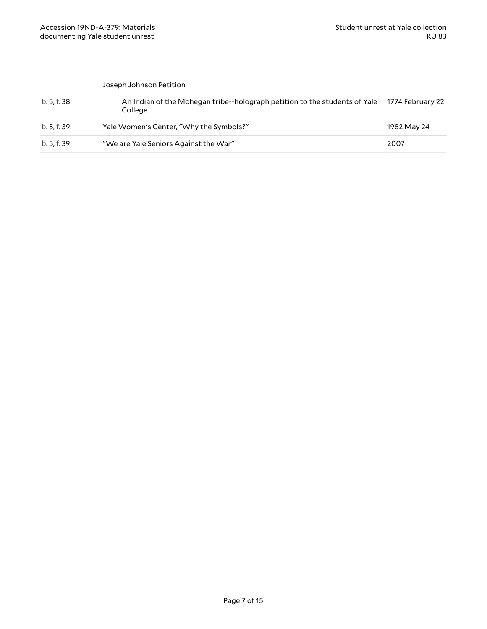#### Joseph Johnson Petition

| b. 5. f. 38 | An Indian of the Mohegan tribe--holograph petition to the students of Yale 1774 February 22<br>College |             |
|-------------|--------------------------------------------------------------------------------------------------------|-------------|
| b. 5. f. 39 | Yale Women's Center, "Why the Symbols?"                                                                | 1982 May 24 |
| b. 5, f. 39 | "We are Yale Seniors Against the War"                                                                  | 2007        |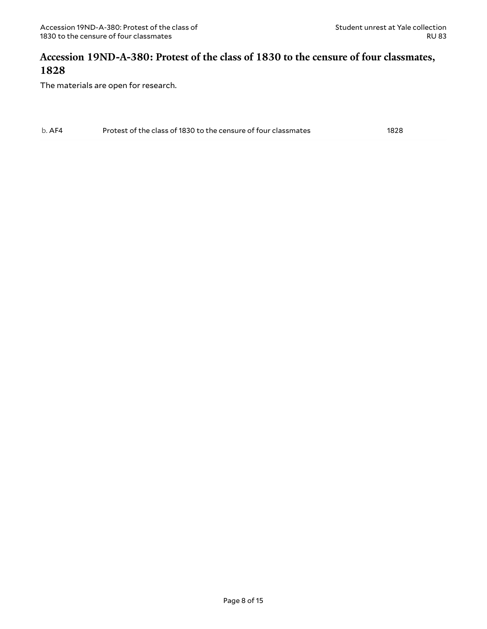#### <span id="page-7-0"></span>**Accession 19ND-A-380: Protest of the class of 1830 to the censure of four classmates, 1828**

| $b.$ AF4 | Protest of the class of 1830 to the censure of four classmates | 1828 |
|----------|----------------------------------------------------------------|------|
|----------|----------------------------------------------------------------|------|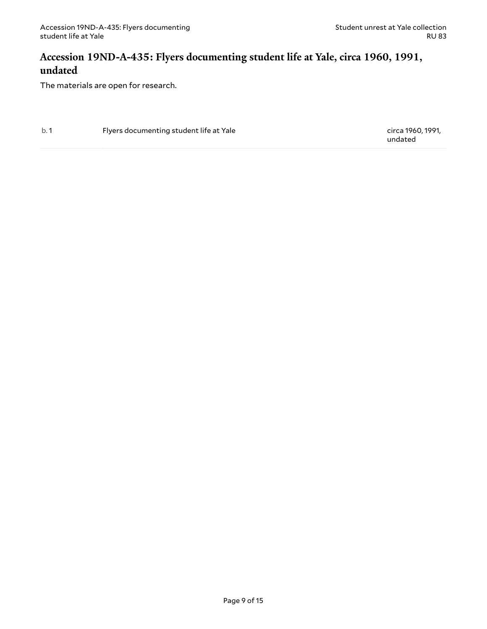#### <span id="page-8-0"></span>**Accession 19ND-A-435: Flyers documenting student life at Yale, circa 1960, 1991, undated**

The materials are open for research.

b. 1 Flyers documenting student life at Yale circa 1960, 1991,

undated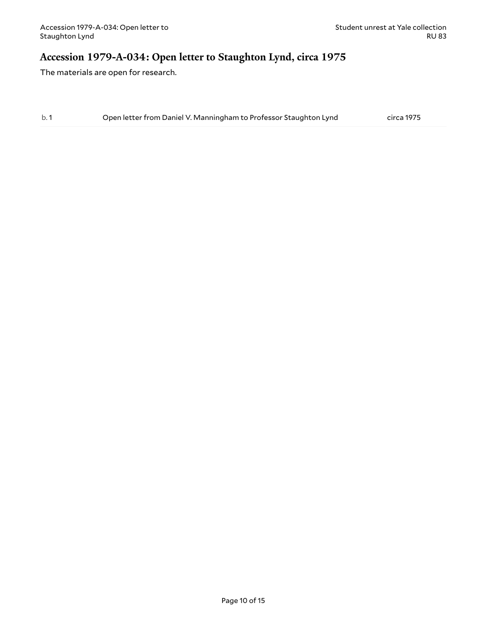#### <span id="page-9-0"></span>**Accession 1979-A-034: Open letter to Staughton Lynd, circa 1975**

| b.1 | Open letter from Daniel V. Manningham to Professor Staughton Lynd | circa 1975 |
|-----|-------------------------------------------------------------------|------------|
|     |                                                                   |            |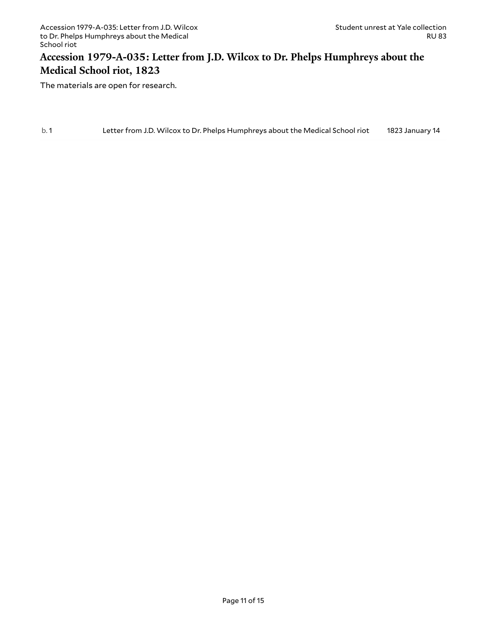#### <span id="page-10-0"></span>**Accession 1979-A-035: Letter from J.D. Wilcox to Dr. Phelps Humphreys about the Medical School riot, 1823**

| b.1 | Letter from J.D. Wilcox to Dr. Phelps Humphreys about the Medical School riot | 1823 January 14 |
|-----|-------------------------------------------------------------------------------|-----------------|
|     |                                                                               |                 |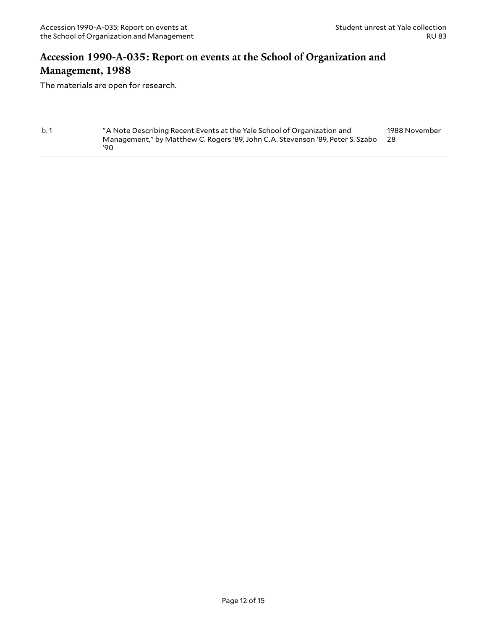#### <span id="page-11-0"></span>**Accession 1990-A-035: Report on events at the School of Organization and Management, 1988**

```
b. 1 "A Note Describing Recent Events at the Yale School of Organization and
                Management," by Matthew C. Rogers '89, John C.A. Stevenson '89, Peter S. Szabo
28
                '90
                                                                                          1988 November
```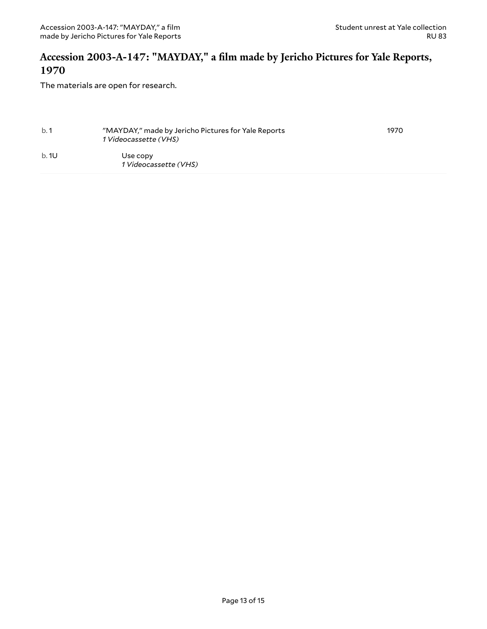#### <span id="page-12-0"></span>**Accession 2003-A-147: "MAYDAY," a film made by Jericho Pictures for Yale Reports, 1970**

| b.1          | "MAYDAY," made by Jericho Pictures for Yale Reports<br>1 Videocassette (VHS) | 1970 |
|--------------|------------------------------------------------------------------------------|------|
| <b>b.</b> 1U | Use copy<br>1 Videocassette (VHS)                                            |      |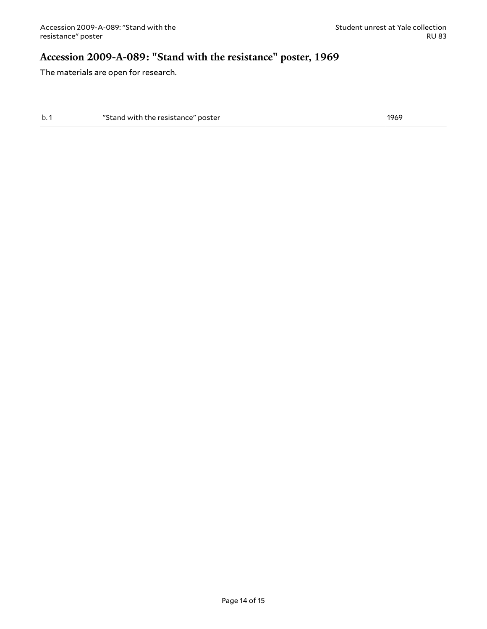#### <span id="page-13-0"></span>**Accession 2009-A-089: "Stand with the resistance" poster, 1969**

The materials are open for research.

b. 1 The "Stand with the resistance" poster 1969 and the 1969